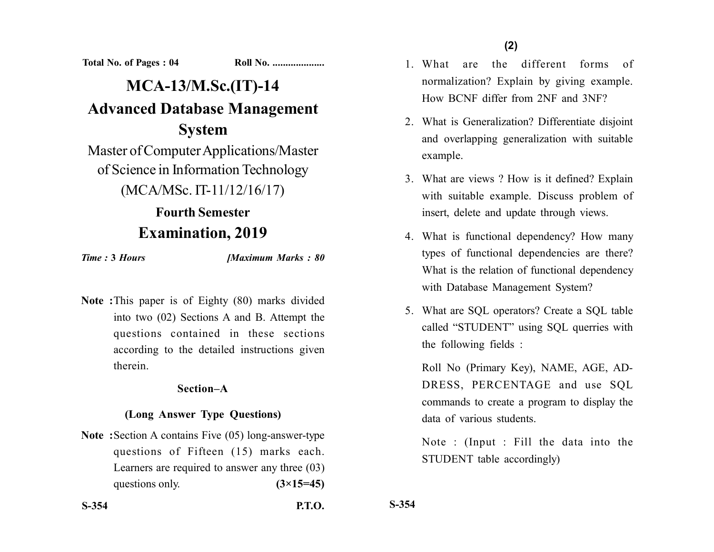**Total No. of Pages : 04 Roll No. ...................** 

# **MCA-13/M.Sc.(IT)-14 Advanced Database Management System**

Master of Computer Applications/Master of Science in Information Technology

(MCA/MSc. IT-11/12/16/17)

## **Fourth Semester Examination, 2019**

*Time :* **3** *Hours [Maximum Marks : 80*

**Note :**This paper is of Eighty (80) marks divided into two (02) Sections A and B. Attempt the questions contained in these sections according to the detailed instructions given therein.

## **Section–A**

## **(Long Answer Type Questions)**

**Note :**Section A contains Five (05) long-answer-type questions of Fifteen (15) marks each. Learners are required to answer any three (03) questions only.  $(3\times15=45)$ 

- 1. What are the different forms of normalization? Explain by giving example. How BCNF differ from 2NF and 3NF?
- 2. What is Generalization? Differentiate disjoint and overlapping generalization with suitable example.
- 3. What are views ? How is it defined? Explain with suitable example. Discuss problem of insert, delete and update through views.
- 4. What is functional dependency? How many types of functional dependencies are there? What is the relation of functional dependency with Database Management System?
- 5. What are SQL operators? Create a SQL table called "STUDENT" using SQL querries with the following fields :

Roll No (Primary Key), NAME, AGE, AD-DRESS, PERCENTAGE and use SQL commands to create a program to display the data of various students.

Note : (Input : Fill the data into the STUDENT table accordingly)